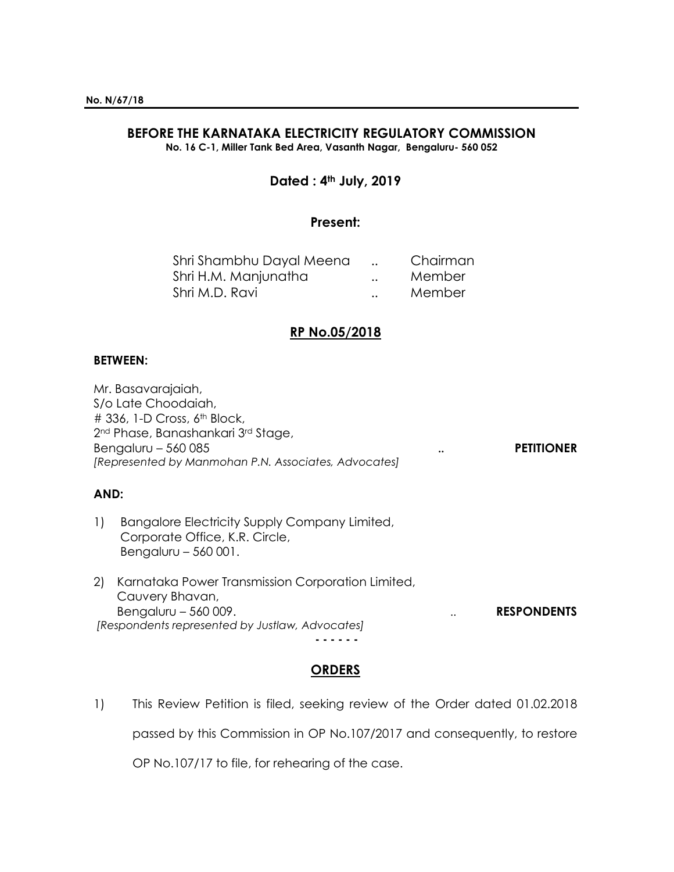## **BEFORE THE KARNATAKA ELECTRICITY REGULATORY COMMISSION**

**No. 16 C-1, Miller Tank Bed Area, Vasanth Nagar, Bengaluru- 560 052**

## **Dated : 4th July, 2019**

## **Present:**

| Shri Shambhu Dayal Meena |                      | Chairman |
|--------------------------|----------------------|----------|
| Shri H.M. Manjunatha     | $\ddot{\phantom{a}}$ | Member   |
| Shri M.D. Ravi           | $\ddot{\phantom{0}}$ | Member   |

## **RP No.05/2018**

#### **BETWEEN:**

Mr. Basavarajaiah, S/o Late Choodaiah, # 336, 1-D Cross, 6<sup>th</sup> Block, 2nd Phase, Banashankari 3rd Stage, Bengaluru – 560 085 **.. PETITIONER** *[Represented by Manmohan P.N. Associates, Advocates]*

## **AND:**

- 1) Bangalore Electricity Supply Company Limited, Corporate Office, K.R. Circle, Bengaluru – 560 001.
- 2) Karnataka Power Transmission Corporation Limited, Cauvery Bhavan, Bengaluru – 560 009. *RESPONDENTS [Respondents represented by Justlaw, Advocates]*

**- - - - - -**

# **ORDERS**

1) This Review Petition is filed, seeking review of the Order dated 01.02.2018

passed by this Commission in OP No.107/2017 and consequently, to restore

OP No.107/17 to file, for rehearing of the case.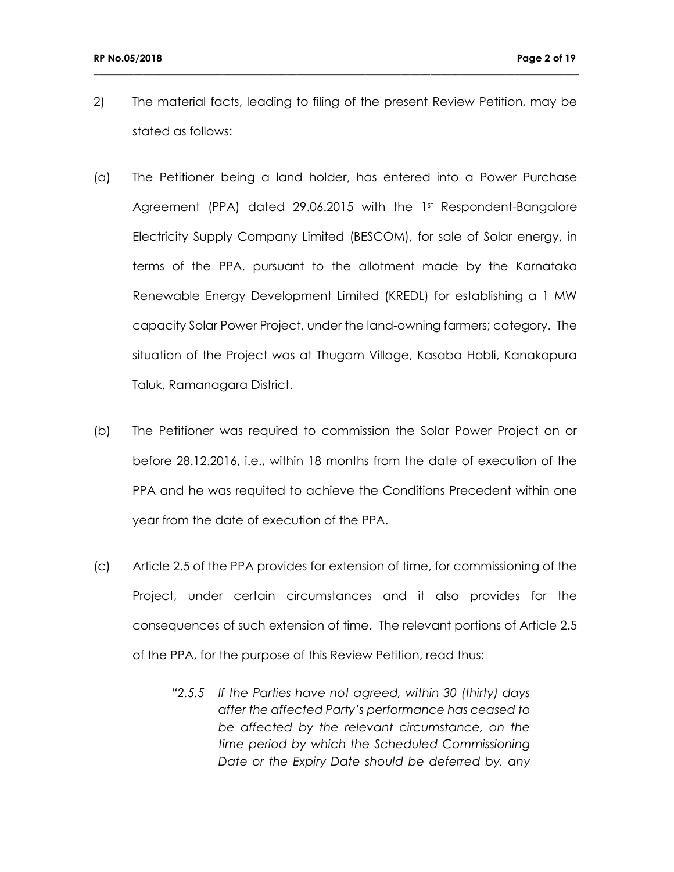2) The material facts, leading to filing of the present Review Petition, may be stated as follows:

- (a) The Petitioner being a land holder, has entered into a Power Purchase Agreement (PPA) dated 29.06.2015 with the 1st Respondent-Bangalore Electricity Supply Company Limited (BESCOM), for sale of Solar energy, in terms of the PPA, pursuant to the allotment made by the Karnataka Renewable Energy Development Limited (KREDL) for establishing a 1 MW capacity Solar Power Project, under the land-owning farmers; category. The situation of the Project was at Thugam Village, Kasaba Hobli, Kanakapura Taluk, Ramanagara District.
- (b) The Petitioner was required to commission the Solar Power Project on or before 28.12.2016, i.e., within 18 months from the date of execution of the PPA and he was requited to achieve the Conditions Precedent within one year from the date of execution of the PPA.
- (c) Article 2.5 of the PPA provides for extension of time, for commissioning of the Project, under certain circumstances and it also provides for the consequences of such extension of time. The relevant portions of Article 2.5 of the PPA, for the purpose of this Review Petition, read thus:
	- *"2.5.5 If the Parties have not agreed, within 30 (thirty) days after the affected Party's performance has ceased to be affected by the relevant circumstance, on the time period by which the Scheduled Commissioning Date or the Expiry Date should be deferred by, any*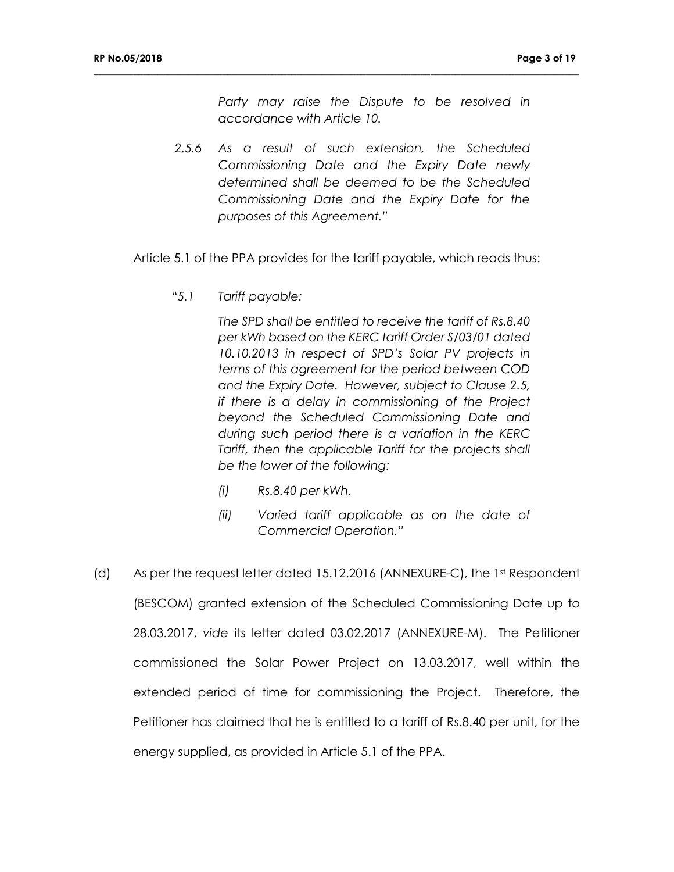*Party may raise the Dispute to be resolved in accordance with Article 10.*

- *2.5.6 As a result of such extension, the Scheduled Commissioning Date and the Expiry Date newly determined shall be deemed to be the Scheduled Commissioning Date and the Expiry Date for the purposes of this Agreement."*
- Article 5.1 of the PPA provides for the tariff payable, which reads thus:

**\_\_\_\_\_\_\_\_\_\_\_\_\_\_\_\_\_\_\_\_\_\_\_\_\_\_\_\_\_\_\_\_\_\_\_\_\_\_\_\_\_\_\_\_\_\_\_\_\_\_\_\_\_\_\_\_\_\_\_\_\_\_\_\_\_\_\_\_\_\_\_\_\_\_\_\_\_\_\_\_\_\_\_\_\_\_\_\_\_\_\_\_\_\_\_\_\_\_**

"*5.1 Tariff payable:*

*The SPD shall be entitled to receive the tariff of Rs.8.40 per kWh based on the KERC tariff Order S/03/01 dated 10.10.2013 in respect of SPD's Solar PV projects in terms of this agreement for the period between COD and the Expiry Date. However, subject to Clause 2.5, if there is a delay in commissioning of the Project beyond the Scheduled Commissioning Date and during such period there is a variation in the KERC Tariff, then the applicable Tariff for the projects shall be the lower of the following:*

- *(i) Rs.8.40 per kWh.*
- *(ii) Varied tariff applicable as on the date of Commercial Operation."*
- (d) As per the request letter dated 15.12.2016 (ANNEXURE-C), the 1st Respondent (BESCOM) granted extension of the Scheduled Commissioning Date up to 28.03.2017, *vide* its letter dated 03.02.2017 (ANNEXURE-M). The Petitioner commissioned the Solar Power Project on 13.03.2017, well within the extended period of time for commissioning the Project. Therefore, the Petitioner has claimed that he is entitled to a tariff of Rs.8.40 per unit, for the energy supplied, as provided in Article 5.1 of the PPA.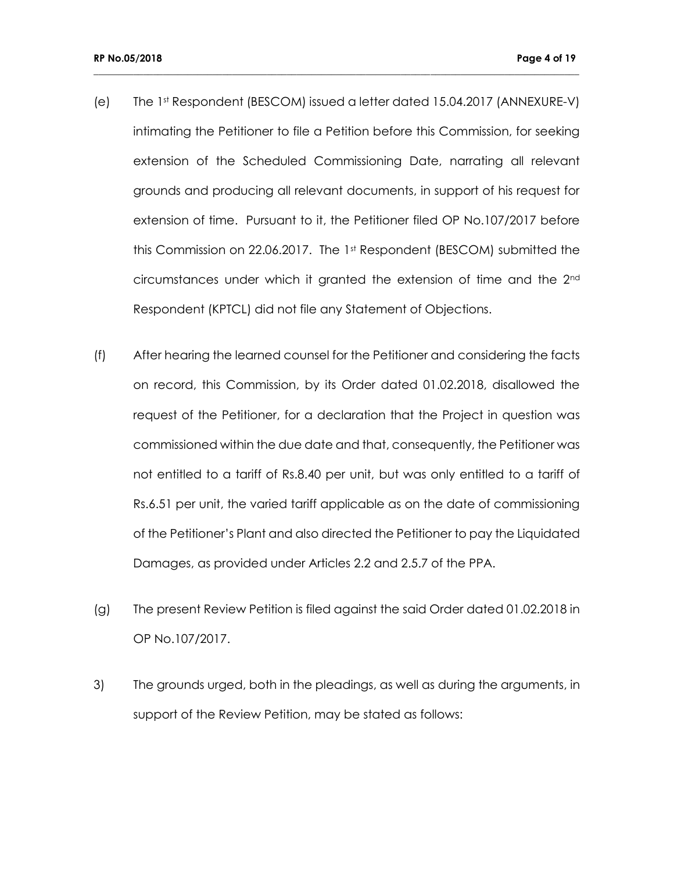(e) The 1st Respondent (BESCOM) issued a letter dated 15.04.2017 (ANNEXURE-V) intimating the Petitioner to file a Petition before this Commission, for seeking extension of the Scheduled Commissioning Date, narrating all relevant grounds and producing all relevant documents, in support of his request for extension of time. Pursuant to it, the Petitioner filed OP No.107/2017 before this Commission on 22.06.2017. The 1st Respondent (BESCOM) submitted the circumstances under which it granted the extension of time and the 2nd Respondent (KPTCL) did not file any Statement of Objections.

- (f) After hearing the learned counsel for the Petitioner and considering the facts on record, this Commission, by its Order dated 01.02.2018, disallowed the request of the Petitioner, for a declaration that the Project in question was commissioned within the due date and that, consequently, the Petitioner was not entitled to a tariff of Rs.8.40 per unit, but was only entitled to a tariff of Rs.6.51 per unit, the varied tariff applicable as on the date of commissioning of the Petitioner's Plant and also directed the Petitioner to pay the Liquidated Damages, as provided under Articles 2.2 and 2.5.7 of the PPA.
- (g) The present Review Petition is filed against the said Order dated 01.02.2018 in OP No.107/2017.
- 3) The grounds urged, both in the pleadings, as well as during the arguments, in support of the Review Petition, may be stated as follows: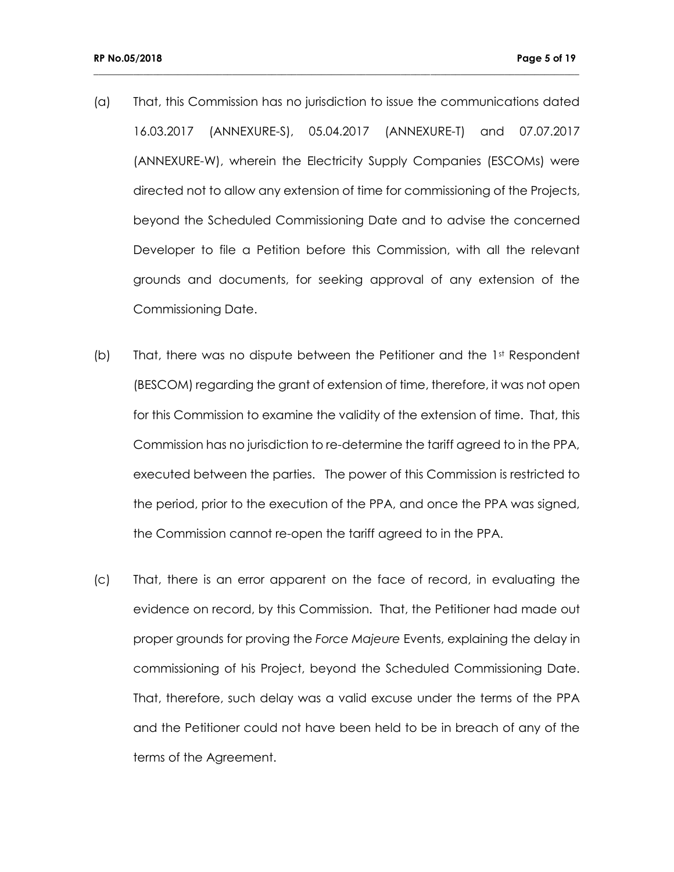(a) That, this Commission has no jurisdiction to issue the communications dated 16.03.2017 (ANNEXURE-S), 05.04.2017 (ANNEXURE-T) and 07.07.2017 (ANNEXURE-W), wherein the Electricity Supply Companies (ESCOMs) were directed not to allow any extension of time for commissioning of the Projects, beyond the Scheduled Commissioning Date and to advise the concerned Developer to file a Petition before this Commission, with all the relevant grounds and documents, for seeking approval of any extension of the Commissioning Date.

- (b) That, there was no dispute between the Petitioner and the  $1<sup>st</sup>$  Respondent (BESCOM) regarding the grant of extension of time, therefore, it was not open for this Commission to examine the validity of the extension of time. That, this Commission has no jurisdiction to re-determine the tariff agreed to in the PPA, executed between the parties. The power of this Commission is restricted to the period, prior to the execution of the PPA, and once the PPA was signed, the Commission cannot re-open the tariff agreed to in the PPA.
- (c) That, there is an error apparent on the face of record, in evaluating the evidence on record, by this Commission. That, the Petitioner had made out proper grounds for proving the *Force Majeure* Events, explaining the delay in commissioning of his Project, beyond the Scheduled Commissioning Date. That, therefore, such delay was a valid excuse under the terms of the PPA and the Petitioner could not have been held to be in breach of any of the terms of the Agreement.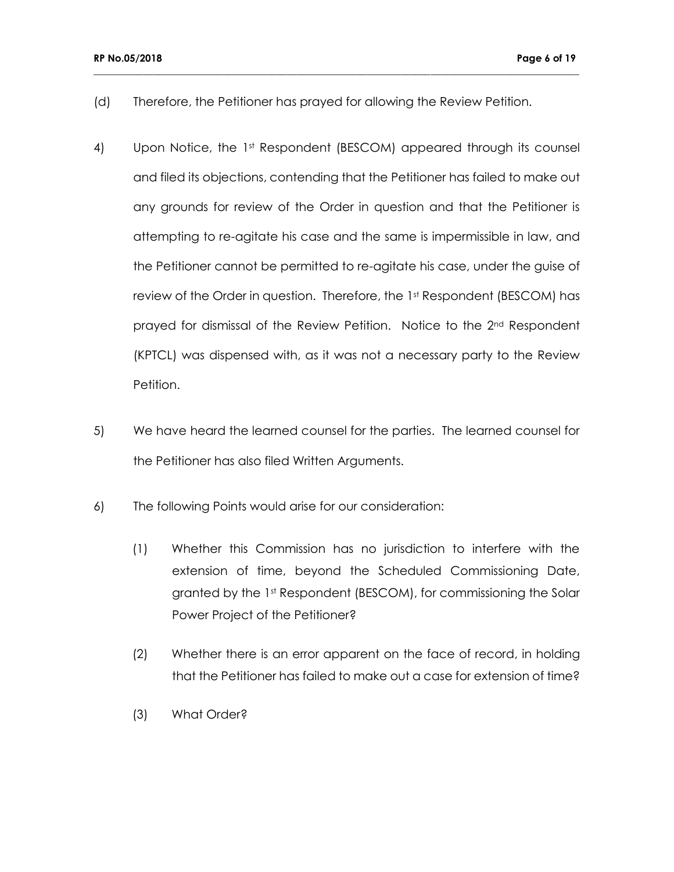(d) Therefore, the Petitioner has prayed for allowing the Review Petition.

- 4) Upon Notice, the 1<sup>st</sup> Respondent (BESCOM) appeared through its counsel and filed its objections, contending that the Petitioner has failed to make out any grounds for review of the Order in question and that the Petitioner is attempting to re-agitate his case and the same is impermissible in law, and the Petitioner cannot be permitted to re-agitate his case, under the guise of review of the Order in question. Therefore, the 1st Respondent (BESCOM) has prayed for dismissal of the Review Petition. Notice to the 2nd Respondent (KPTCL) was dispensed with, as it was not a necessary party to the Review Petition.
- 5) We have heard the learned counsel for the parties. The learned counsel for the Petitioner has also filed Written Arguments.
- 6) The following Points would arise for our consideration:
	- (1) Whether this Commission has no jurisdiction to interfere with the extension of time, beyond the Scheduled Commissioning Date, granted by the 1st Respondent (BESCOM), for commissioning the Solar Power Project of the Petitioner?
	- (2) Whether there is an error apparent on the face of record, in holding that the Petitioner has failed to make out a case for extension of time?
	- (3) What Order?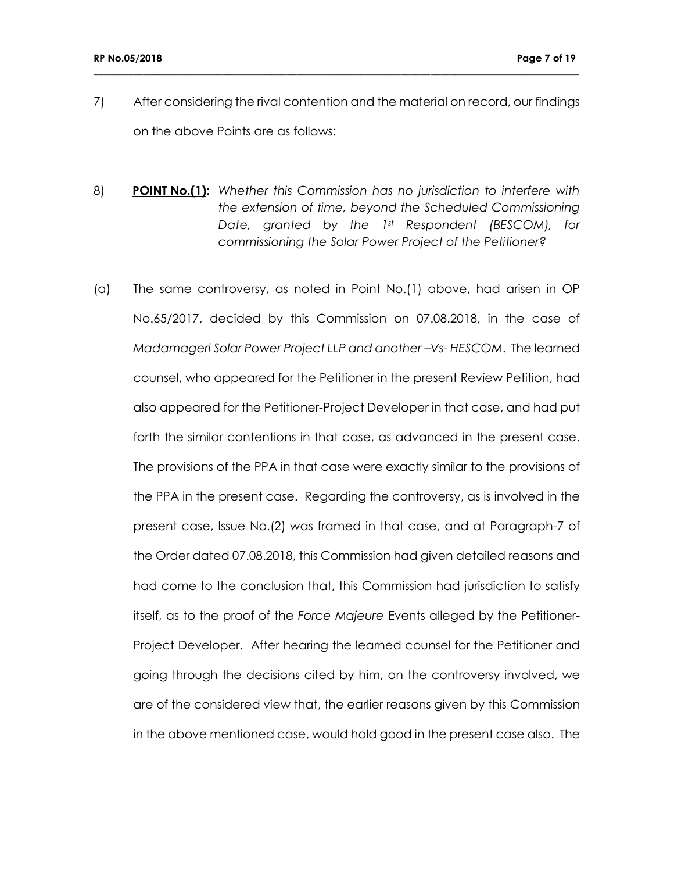7) After considering the rival contention and the material on record, our findings on the above Points are as follows:

- 8) **POINT No.(1):** *Whether this Commission has no jurisdiction to interfere with the extension of time, beyond the Scheduled Commissioning Date, granted by the 1st Respondent (BESCOM), for commissioning the Solar Power Project of the Petitioner?*
- (a) The same controversy, as noted in Point No.(1) above, had arisen in OP No.65/2017, decided by this Commission on 07.08.2018, in the case of *Madamageri Solar Power Project LLP and another –Vs- HESCOM*. The learned counsel, who appeared for the Petitioner in the present Review Petition, had also appeared for the Petitioner-Project Developer in that case, and had put forth the similar contentions in that case, as advanced in the present case. The provisions of the PPA in that case were exactly similar to the provisions of the PPA in the present case. Regarding the controversy, as is involved in the present case, Issue No.(2) was framed in that case, and at Paragraph-7 of the Order dated 07.08.2018, this Commission had given detailed reasons and had come to the conclusion that, this Commission had jurisdiction to satisfy itself, as to the proof of the *Force Majeure* Events alleged by the Petitioner-Project Developer. After hearing the learned counsel for the Petitioner and going through the decisions cited by him, on the controversy involved, we are of the considered view that, the earlier reasons given by this Commission in the above mentioned case, would hold good in the present case also. The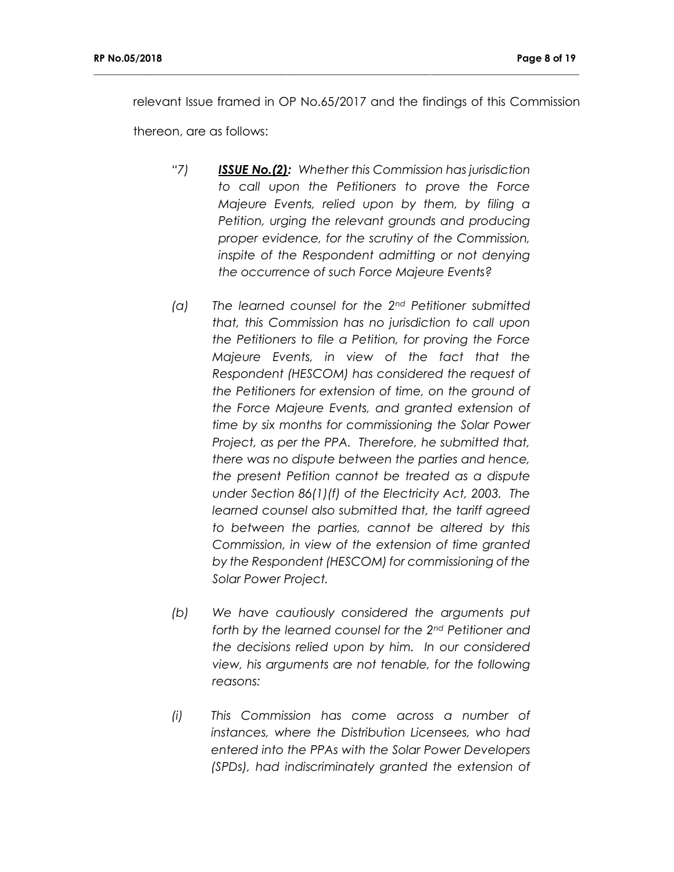relevant Issue framed in OP No.65/2017 and the findings of this Commission

**\_\_\_\_\_\_\_\_\_\_\_\_\_\_\_\_\_\_\_\_\_\_\_\_\_\_\_\_\_\_\_\_\_\_\_\_\_\_\_\_\_\_\_\_\_\_\_\_\_\_\_\_\_\_\_\_\_\_\_\_\_\_\_\_\_\_\_\_\_\_\_\_\_\_\_\_\_\_\_\_\_\_\_\_\_\_\_\_\_\_\_\_\_\_\_\_\_\_**

thereon, are as follows:

- *"7) ISSUE No.(2): Whether this Commission has jurisdiction to call upon the Petitioners to prove the Force Majeure Events, relied upon by them, by filing a Petition, urging the relevant grounds and producing proper evidence, for the scrutiny of the Commission, inspite of the Respondent admitting or not denying the occurrence of such Force Majeure Events?*
- *(a) The learned counsel for the 2nd Petitioner submitted that, this Commission has no jurisdiction to call upon the Petitioners to file a Petition, for proving the Force Majeure Events, in view of the fact that the Respondent (HESCOM) has considered the request of the Petitioners for extension of time, on the ground of the Force Majeure Events, and granted extension of time by six months for commissioning the Solar Power Project, as per the PPA. Therefore, he submitted that, there was no dispute between the parties and hence, the present Petition cannot be treated as a dispute under Section 86(1)(f) of the Electricity Act, 2003. The learned counsel also submitted that, the tariff agreed to between the parties, cannot be altered by this Commission, in view of the extension of time granted by the Respondent (HESCOM) for commissioning of the Solar Power Project.*
- *(b) We have cautiously considered the arguments put forth by the learned counsel for the 2nd Petitioner and the decisions relied upon by him. In our considered view, his arguments are not tenable, for the following reasons:*
- *(i) This Commission has come across a number of instances, where the Distribution Licensees, who had entered into the PPAs with the Solar Power Developers (SPDs), had indiscriminately granted the extension of*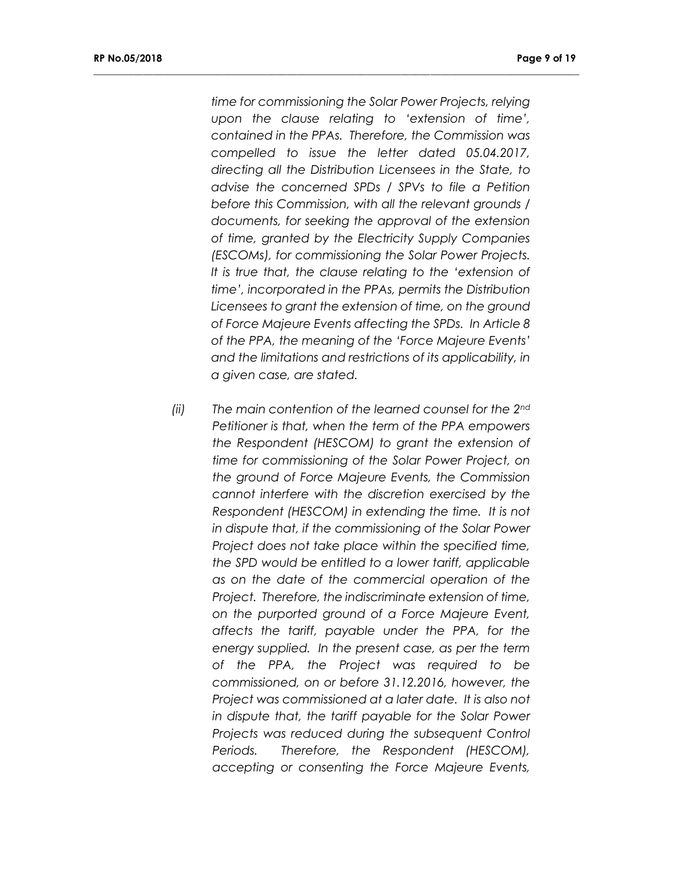*time for commissioning the Solar Power Projects, relying upon the clause relating to 'extension of time', contained in the PPAs. Therefore, the Commission was compelled to issue the letter dated 05.04.2017, directing all the Distribution Licensees in the State, to advise the concerned SPDs / SPVs to file a Petition before this Commission, with all the relevant grounds / documents, for seeking the approval of the extension of time, granted by the Electricity Supply Companies (ESCOMs), for commissioning the Solar Power Projects. It is true that, the clause relating to the 'extension of time', incorporated in the PPAs, permits the Distribution Licensees to grant the extension of time, on the ground of Force Majeure Events affecting the SPDs. In Article 8 of the PPA, the meaning of the 'Force Majeure Events' and the limitations and restrictions of its applicability, in a given case, are stated.*

**\_\_\_\_\_\_\_\_\_\_\_\_\_\_\_\_\_\_\_\_\_\_\_\_\_\_\_\_\_\_\_\_\_\_\_\_\_\_\_\_\_\_\_\_\_\_\_\_\_\_\_\_\_\_\_\_\_\_\_\_\_\_\_\_\_\_\_\_\_\_\_\_\_\_\_\_\_\_\_\_\_\_\_\_\_\_\_\_\_\_\_\_\_\_\_\_\_\_**

*(ii) The main contention of the learned counsel for the 2nd Petitioner is that, when the term of the PPA empowers the Respondent (HESCOM) to grant the extension of time for commissioning of the Solar Power Project, on the ground of Force Majeure Events, the Commission cannot interfere with the discretion exercised by the Respondent (HESCOM) in extending the time. It is not in dispute that, if the commissioning of the Solar Power Project does not take place within the specified time, the SPD would be entitled to a lower tariff, applicable as on the date of the commercial operation of the Project. Therefore, the indiscriminate extension of time, on the purported ground of a Force Majeure Event, affects the tariff, payable under the PPA, for the energy supplied. In the present case, as per the term of the PPA, the Project was required to be commissioned, on or before 31.12.2016, however, the Project was commissioned at a later date. It is also not in dispute that, the tariff payable for the Solar Power Projects was reduced during the subsequent Control Periods. Therefore, the Respondent (HESCOM), accepting or consenting the Force Majeure Events,*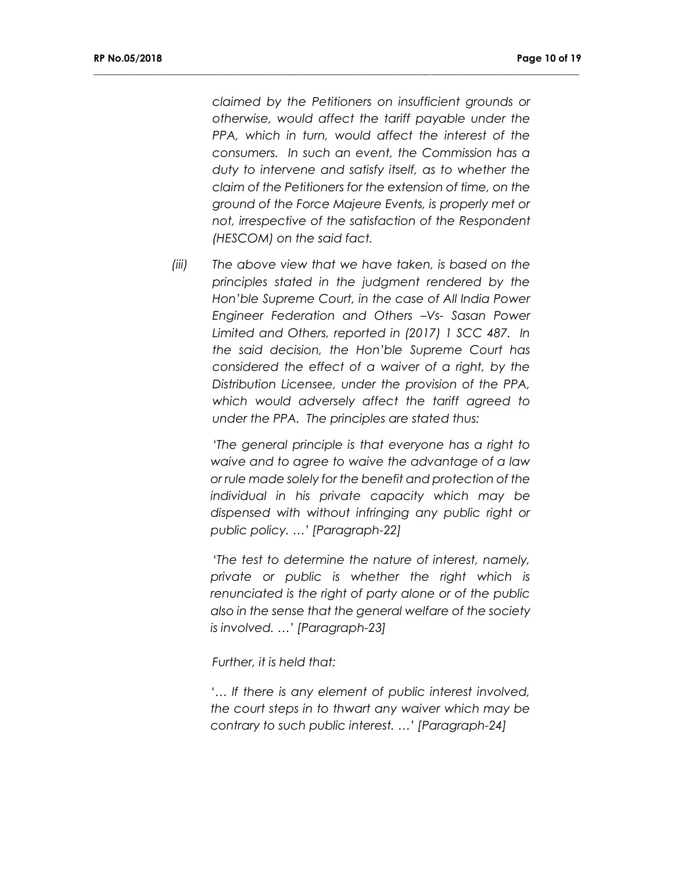*claimed by the Petitioners on insufficient grounds or otherwise, would affect the tariff payable under the PPA, which in turn, would affect the interest of the consumers. In such an event, the Commission has a duty to intervene and satisfy itself, as to whether the claim of the Petitioners for the extension of time, on the ground of the Force Majeure Events, is properly met or not, irrespective of the satisfaction of the Respondent (HESCOM) on the said fact.* 

**\_\_\_\_\_\_\_\_\_\_\_\_\_\_\_\_\_\_\_\_\_\_\_\_\_\_\_\_\_\_\_\_\_\_\_\_\_\_\_\_\_\_\_\_\_\_\_\_\_\_\_\_\_\_\_\_\_\_\_\_\_\_\_\_\_\_\_\_\_\_\_\_\_\_\_\_\_\_\_\_\_\_\_\_\_\_\_\_\_\_\_\_\_\_\_\_\_\_**

*(iii) The above view that we have taken, is based on the principles stated in the judgment rendered by the Hon'ble Supreme Court, in the case of All India Power Engineer Federation and Others –Vs- Sasan Power Limited and Others, reported in (2017) 1 SCC 487. In the said decision, the Hon'ble Supreme Court has considered the effect of a waiver of a right, by the Distribution Licensee, under the provision of the PPA, which would adversely affect the tariff agreed to under the PPA. The principles are stated thus:*

> *'The general principle is that everyone has a right to waive and to agree to waive the advantage of a law or rule made solely for the benefit and protection of the individual in his private capacity which may be dispensed with without infringing any public right or public policy. …' [Paragraph-22]*

> *'The test to determine the nature of interest, namely, private or public is whether the right which is renunciated is the right of party alone or of the public also in the sense that the general welfare of the society is involved. …' [Paragraph-23]*

*Further, it is held that:*

*'… If there is any element of public interest involved, the court steps in to thwart any waiver which may be contrary to such public interest. …' [Paragraph-24]*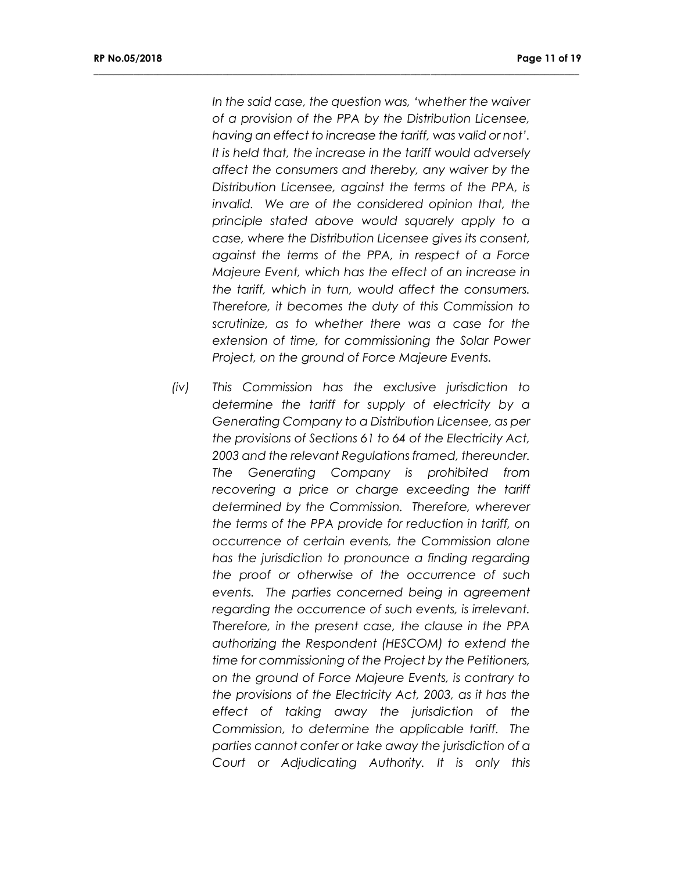*In the said case, the question was, 'whether the waiver of a provision of the PPA by the Distribution Licensee, having an effect to increase the tariff, was valid or not'. It is held that, the increase in the tariff would adversely affect the consumers and thereby, any waiver by the Distribution Licensee, against the terms of the PPA, is invalid. We are of the considered opinion that, the principle stated above would squarely apply to a case, where the Distribution Licensee gives its consent, against the terms of the PPA, in respect of a Force Majeure Event, which has the effect of an increase in the tariff, which in turn, would affect the consumers. Therefore, it becomes the duty of this Commission to scrutinize, as to whether there was a case for the extension of time, for commissioning the Solar Power Project, on the ground of Force Majeure Events.*

**\_\_\_\_\_\_\_\_\_\_\_\_\_\_\_\_\_\_\_\_\_\_\_\_\_\_\_\_\_\_\_\_\_\_\_\_\_\_\_\_\_\_\_\_\_\_\_\_\_\_\_\_\_\_\_\_\_\_\_\_\_\_\_\_\_\_\_\_\_\_\_\_\_\_\_\_\_\_\_\_\_\_\_\_\_\_\_\_\_\_\_\_\_\_\_\_\_\_**

*(iv) This Commission has the exclusive jurisdiction to determine the tariff for supply of electricity by a Generating Company to a Distribution Licensee, as per the provisions of Sections 61 to 64 of the Electricity Act, 2003 and the relevant Regulations framed, thereunder. The Generating Company is prohibited from recovering a price or charge exceeding the tariff determined by the Commission. Therefore, wherever the terms of the PPA provide for reduction in tariff, on occurrence of certain events, the Commission alone has the jurisdiction to pronounce a finding regarding the proof or otherwise of the occurrence of such events. The parties concerned being in agreement regarding the occurrence of such events, is irrelevant. Therefore, in the present case, the clause in the PPA authorizing the Respondent (HESCOM) to extend the time for commissioning of the Project by the Petitioners, on the ground of Force Majeure Events, is contrary to the provisions of the Electricity Act, 2003, as it has the effect of taking away the jurisdiction of the Commission, to determine the applicable tariff. The parties cannot confer or take away the jurisdiction of a Court or Adjudicating Authority. It is only this*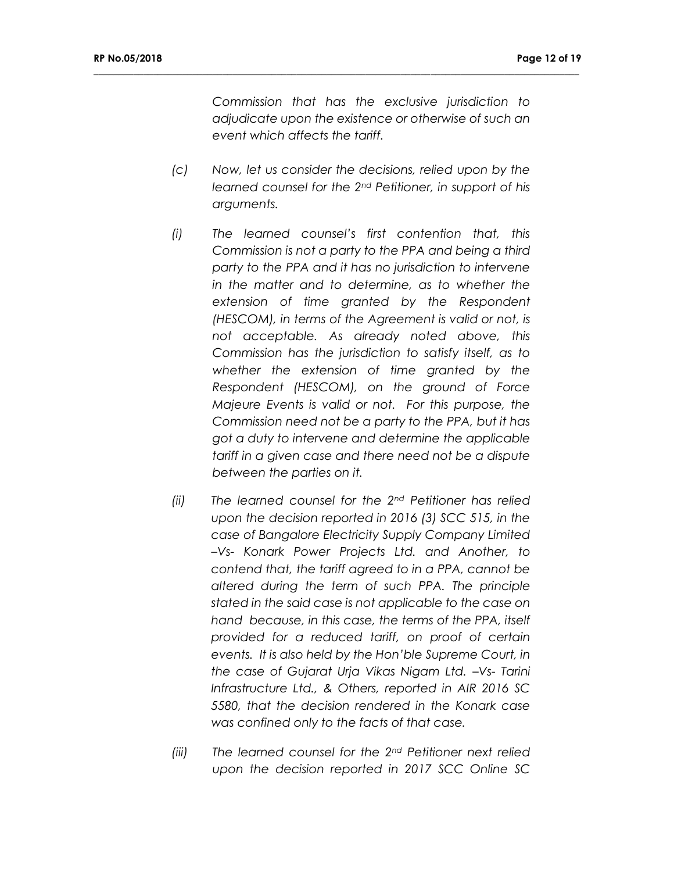*Commission that has the exclusive jurisdiction to adjudicate upon the existence or otherwise of such an event which affects the tariff.*

*(c) Now, let us consider the decisions, relied upon by the learned counsel for the 2nd Petitioner, in support of his arguments.*

- *(i) The learned counsel's first contention that, this Commission is not a party to the PPA and being a third party to the PPA and it has no jurisdiction to intervene in the matter and to determine, as to whether the extension of time granted by the Respondent (HESCOM), in terms of the Agreement is valid or not, is not acceptable. As already noted above, this Commission has the jurisdiction to satisfy itself, as to whether the extension of time granted by the Respondent (HESCOM), on the ground of Force Majeure Events is valid or not. For this purpose, the Commission need not be a party to the PPA, but it has got a duty to intervene and determine the applicable tariff in a given case and there need not be a dispute between the parties on it.*
- *(ii) The learned counsel for the 2nd Petitioner has relied upon the decision reported in 2016 (3) SCC 515, in the case of Bangalore Electricity Supply Company Limited –Vs- Konark Power Projects Ltd. and Another, to contend that, the tariff agreed to in a PPA, cannot be altered during the term of such PPA. The principle stated in the said case is not applicable to the case on hand because, in this case, the terms of the PPA, itself provided for a reduced tariff, on proof of certain events. It is also held by the Hon'ble Supreme Court, in the case of Gujarat Urja Vikas Nigam Ltd. –Vs- Tarini Infrastructure Ltd., & Others, reported in AIR 2016 SC 5580, that the decision rendered in the Konark case was confined only to the facts of that case.*
- *(iii) The learned counsel for the 2nd Petitioner next relied upon the decision reported in 2017 SCC Online SC*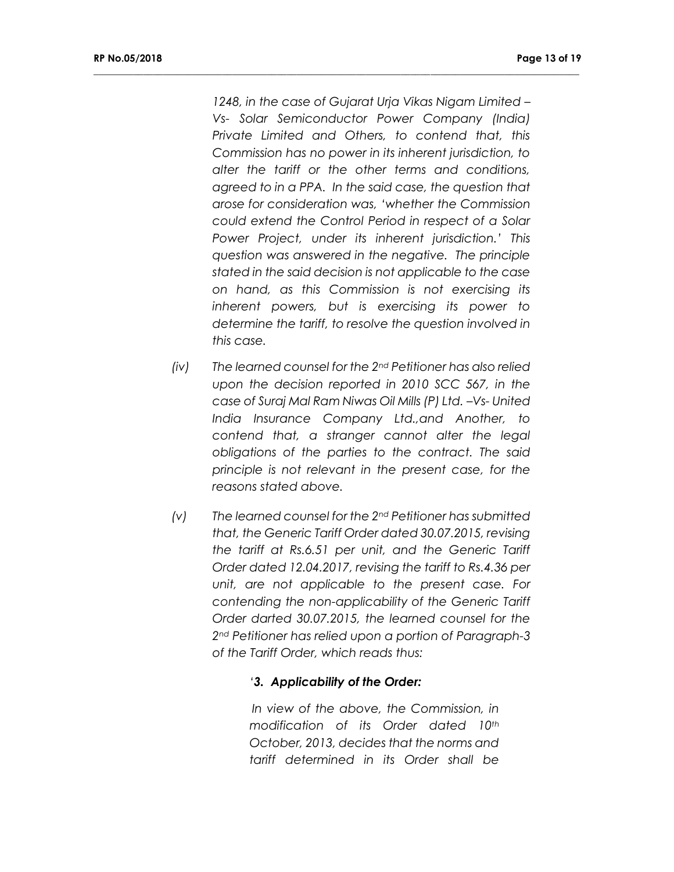*1248, in the case of Gujarat Urja Vikas Nigam Limited – Vs- Solar Semiconductor Power Company (India) Private Limited and Others, to contend that, this Commission has no power in its inherent jurisdiction, to alter the tariff or the other terms and conditions, agreed to in a PPA. In the said case, the question that arose for consideration was, 'whether the Commission could extend the Control Period in respect of a Solar Power Project, under its inherent jurisdiction.' This question was answered in the negative. The principle stated in the said decision is not applicable to the case on hand, as this Commission is not exercising its inherent powers, but is exercising its power to determine the tariff, to resolve the question involved in this case.*

**\_\_\_\_\_\_\_\_\_\_\_\_\_\_\_\_\_\_\_\_\_\_\_\_\_\_\_\_\_\_\_\_\_\_\_\_\_\_\_\_\_\_\_\_\_\_\_\_\_\_\_\_\_\_\_\_\_\_\_\_\_\_\_\_\_\_\_\_\_\_\_\_\_\_\_\_\_\_\_\_\_\_\_\_\_\_\_\_\_\_\_\_\_\_\_\_\_\_**

- *(iv) The learned counsel for the 2nd Petitioner has also relied upon the decision reported in 2010 SCC 567, in the case of Suraj Mal Ram Niwas Oil Mills (P) Ltd. –Vs- United India Insurance Company Ltd.,and Another, to contend that, a stranger cannot alter the legal obligations of the parties to the contract. The said principle is not relevant in the present case, for the reasons stated above.*
- *(v) The learned counsel for the 2nd Petitioner has submitted that, the Generic Tariff Order dated 30.07.2015, revising the tariff at Rs.6.51 per unit, and the Generic Tariff Order dated 12.04.2017, revising the tariff to Rs.4.36 per unit, are not applicable to the present case. For contending the non-applicability of the Generic Tariff Order darted 30.07.2015, the learned counsel for the 2nd Petitioner has relied upon a portion of Paragraph-3 of the Tariff Order, which reads thus:*

#### *'3. Applicability of the Order:*

*In view of the above, the Commission, in modification of its Order dated 10th October, 2013, decides that the norms and tariff determined in its Order shall be*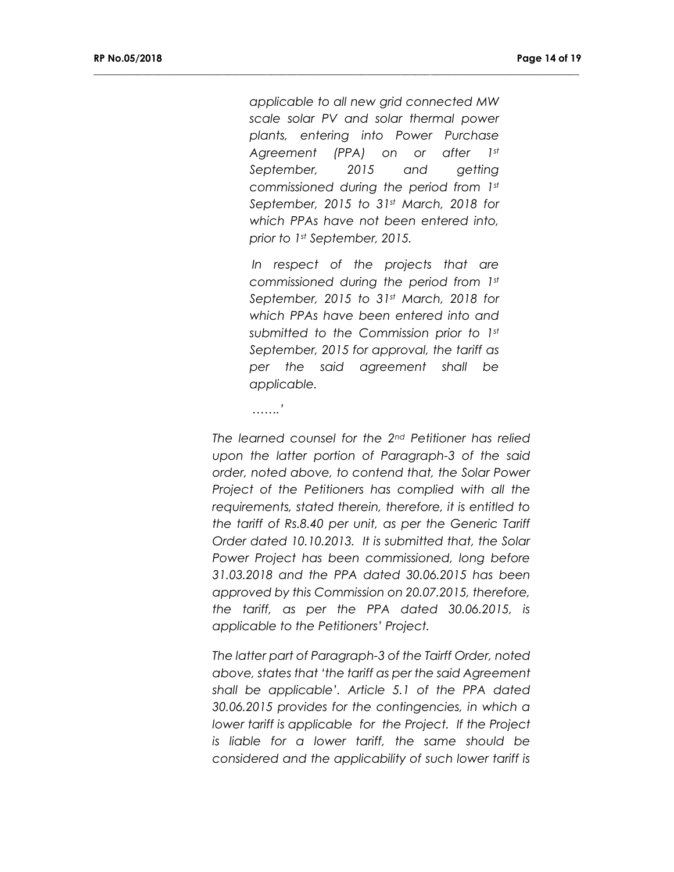*applicable to all new grid connected MW scale solar PV and solar thermal power plants, entering into Power Purchase Agreement (PPA) on or after 1st September, 2015 and getting commissioned during the period from 1st September, 2015 to 31st March, 2018 for which PPAs have not been entered into, prior to 1st September, 2015.*

**\_\_\_\_\_\_\_\_\_\_\_\_\_\_\_\_\_\_\_\_\_\_\_\_\_\_\_\_\_\_\_\_\_\_\_\_\_\_\_\_\_\_\_\_\_\_\_\_\_\_\_\_\_\_\_\_\_\_\_\_\_\_\_\_\_\_\_\_\_\_\_\_\_\_\_\_\_\_\_\_\_\_\_\_\_\_\_\_\_\_\_\_\_\_\_\_\_\_**

*In respect of the projects that are commissioned during the period from 1st September, 2015 to 31st March, 2018 for which PPAs have been entered into and submitted to the Commission prior to 1st September, 2015 for approval, the tariff as per the said agreement shall be applicable.*

*…….'*

*The learned counsel for the 2nd Petitioner has relied upon the latter portion of Paragraph-3 of the said order, noted above, to contend that, the Solar Power Project of the Petitioners has complied with all the requirements, stated therein, therefore, it is entitled to the tariff of Rs.8.40 per unit, as per the Generic Tariff Order dated 10.10.2013. It is submitted that, the Solar Power Project has been commissioned, long before 31.03.2018 and the PPA dated 30.06.2015 has been approved by this Commission on 20.07.2015, therefore, the tariff, as per the PPA dated 30.06.2015, is applicable to the Petitioners' Project.*

*The latter part of Paragraph-3 of the Tairff Order, noted above, states that 'the tariff as per the said Agreement shall be applicable'. Article 5.1 of the PPA dated 30.06.2015 provides for the contingencies, in which a lower tariff is applicable for the Project. If the Project is liable for a lower tariff, the same should be considered and the applicability of such lower tariff is*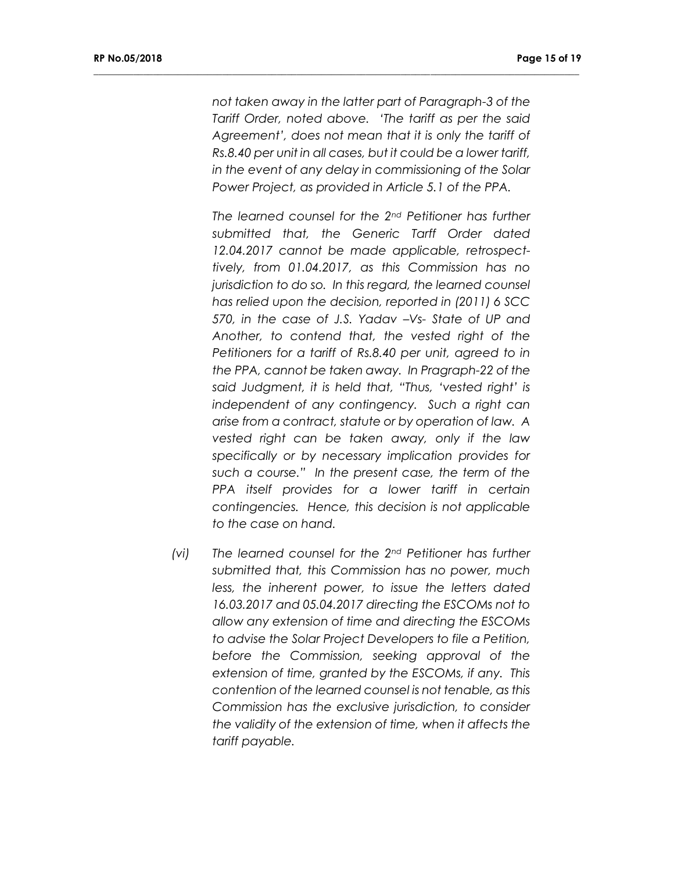*not taken away in the latter part of Paragraph-3 of the Tariff Order, noted above. 'The tariff as per the said Agreement', does not mean that it is only the tariff of Rs.8.40 per unit in all cases, but it could be a lower tariff, in the event of any delay in commissioning of the Solar Power Project, as provided in Article 5.1 of the PPA.*

**\_\_\_\_\_\_\_\_\_\_\_\_\_\_\_\_\_\_\_\_\_\_\_\_\_\_\_\_\_\_\_\_\_\_\_\_\_\_\_\_\_\_\_\_\_\_\_\_\_\_\_\_\_\_\_\_\_\_\_\_\_\_\_\_\_\_\_\_\_\_\_\_\_\_\_\_\_\_\_\_\_\_\_\_\_\_\_\_\_\_\_\_\_\_\_\_\_\_**

*The learned counsel for the 2nd Petitioner has further submitted that, the Generic Tarff Order dated 12.04.2017 cannot be made applicable, retrospecttively, from 01.04.2017, as this Commission has no jurisdiction to do so. In this regard, the learned counsel has relied upon the decision, reported in (2011) 6 SCC 570, in the case of J.S. Yadav –Vs- State of UP and Another, to contend that, the vested right of the Petitioners for a tariff of Rs.8.40 per unit, agreed to in the PPA, cannot be taken away. In Pragraph-22 of the said Judgment, it is held that, "Thus, 'vested right' is independent of any contingency. Such a right can arise from a contract, statute or by operation of law. A vested right can be taken away, only if the law specifically or by necessary implication provides for such a course." In the present case, the term of the PPA itself provides for a lower tariff in certain contingencies. Hence, this decision is not applicable to the case on hand.*

*(vi) The learned counsel for the 2nd Petitioner has further submitted that, this Commission has no power, much less, the inherent power, to issue the letters dated 16.03.2017 and 05.04.2017 directing the ESCOMs not to allow any extension of time and directing the ESCOMs to advise the Solar Project Developers to file a Petition, before the Commission, seeking approval of the extension of time, granted by the ESCOMs, if any. This contention of the learned counsel is not tenable, as this Commission has the exclusive jurisdiction, to consider the validity of the extension of time, when it affects the tariff payable.*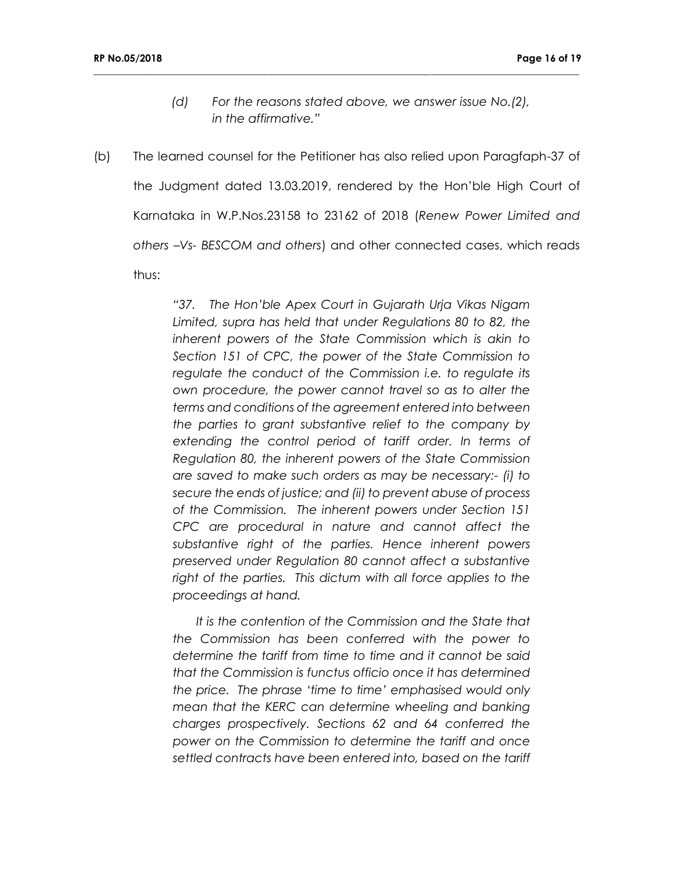*(d) For the reasons stated above, we answer issue No.(2), in the affirmative."*

**\_\_\_\_\_\_\_\_\_\_\_\_\_\_\_\_\_\_\_\_\_\_\_\_\_\_\_\_\_\_\_\_\_\_\_\_\_\_\_\_\_\_\_\_\_\_\_\_\_\_\_\_\_\_\_\_\_\_\_\_\_\_\_\_\_\_\_\_\_\_\_\_\_\_\_\_\_\_\_\_\_\_\_\_\_\_\_\_\_\_\_\_\_\_\_\_\_\_**

(b) The learned counsel for the Petitioner has also relied upon Paragfaph-37 of the Judgment dated 13.03.2019, rendered by the Hon'ble High Court of Karnataka in W.P.Nos.23158 to 23162 of 2018 (*Renew Power Limited and others –Vs- BESCOM and others*) and other connected cases, which reads thus:

> *"37. The Hon'ble Apex Court in Gujarath Urja Vikas Nigam Limited, supra has held that under Regulations 80 to 82, the inherent powers of the State Commission which is akin to Section 151 of CPC, the power of the State Commission to regulate the conduct of the Commission i.e. to regulate its own procedure, the power cannot travel so as to alter the terms and conditions of the agreement entered into between the parties to grant substantive relief to the company by extending the control period of tariff order. In terms of Regulation 80, the inherent powers of the State Commission are saved to make such orders as may be necessary:- (i) to secure the ends of justice; and (ii) to prevent abuse of process of the Commission. The inherent powers under Section 151 CPC are procedural in nature and cannot affect the substantive right of the parties. Hence inherent powers preserved under Regulation 80 cannot affect a substantive*  right of the parties. This dictum with all force applies to the *proceedings at hand.*

> *It is the contention of the Commission and the State that the Commission has been conferred with the power to determine the tariff from time to time and it cannot be said that the Commission is functus officio once it has determined the price. The phrase 'time to time' emphasised would only mean that the KERC can determine wheeling and banking charges prospectively. Sections 62 and 64 conferred the power on the Commission to determine the tariff and once settled contracts have been entered into, based on the tariff*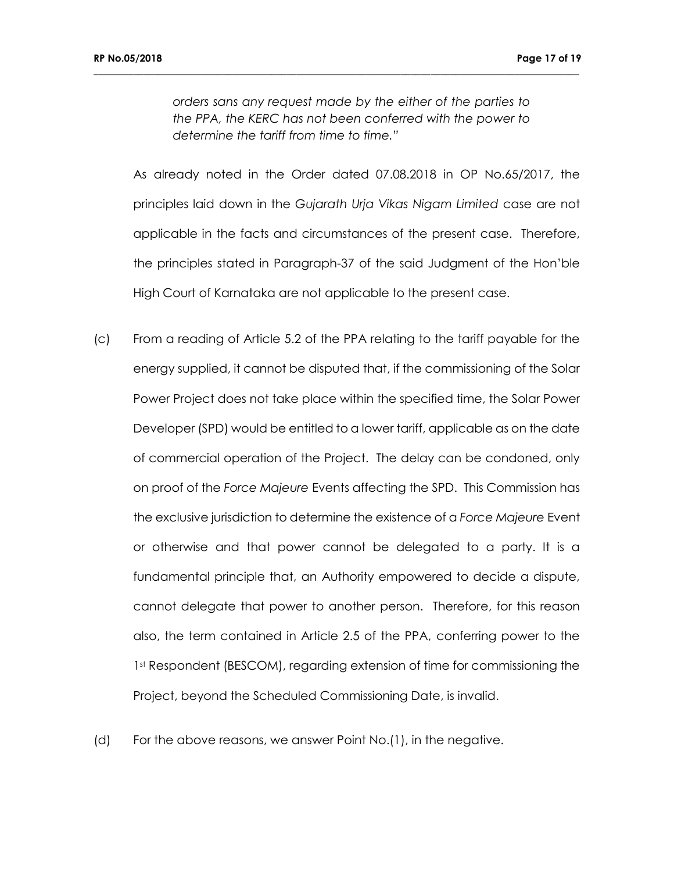*orders sans any request made by the either of the parties to the PPA, the KERC has not been conferred with the power to determine the tariff from time to time."*

**\_\_\_\_\_\_\_\_\_\_\_\_\_\_\_\_\_\_\_\_\_\_\_\_\_\_\_\_\_\_\_\_\_\_\_\_\_\_\_\_\_\_\_\_\_\_\_\_\_\_\_\_\_\_\_\_\_\_\_\_\_\_\_\_\_\_\_\_\_\_\_\_\_\_\_\_\_\_\_\_\_\_\_\_\_\_\_\_\_\_\_\_\_\_\_\_\_\_**

As already noted in the Order dated 07.08.2018 in OP No.65/2017, the principles laid down in the *Gujarath Urja Vikas Nigam Limited* case are not applicable in the facts and circumstances of the present case. Therefore, the principles stated in Paragraph-37 of the said Judgment of the Hon'ble High Court of Karnataka are not applicable to the present case.

- (c) From a reading of Article 5.2 of the PPA relating to the tariff payable for the energy supplied, it cannot be disputed that, if the commissioning of the Solar Power Project does not take place within the specified time, the Solar Power Developer (SPD) would be entitled to a lower tariff, applicable as on the date of commercial operation of the Project. The delay can be condoned, only on proof of the *Force Majeure* Events affecting the SPD. This Commission has the exclusive jurisdiction to determine the existence of a *Force Majeure* Event or otherwise and that power cannot be delegated to a party. It is a fundamental principle that, an Authority empowered to decide a dispute, cannot delegate that power to another person. Therefore, for this reason also, the term contained in Article 2.5 of the PPA, conferring power to the 1<sup>st</sup> Respondent (BESCOM), regarding extension of time for commissioning the Project, beyond the Scheduled Commissioning Date, is invalid.
- (d) For the above reasons, we answer Point No.(1), in the negative.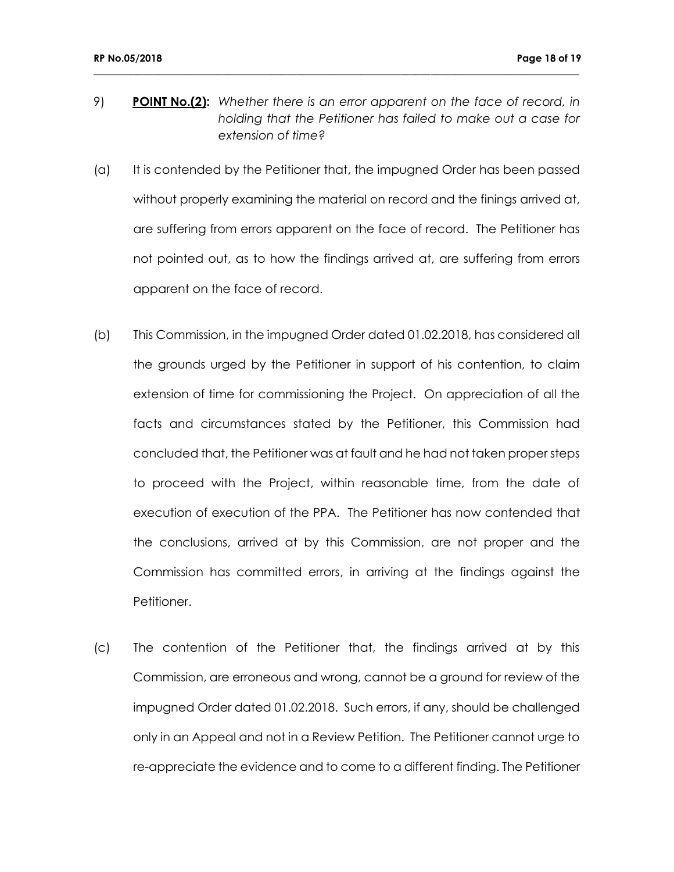9) **POINT No.(2):** *Whether there is an error apparent on the face of record, in holding that the Petitioner has failed to make out a case for extension of time?*

- (a) It is contended by the Petitioner that, the impugned Order has been passed without properly examining the material on record and the finings arrived at, are suffering from errors apparent on the face of record. The Petitioner has not pointed out, as to how the findings arrived at, are suffering from errors apparent on the face of record.
- (b) This Commission, in the impugned Order dated 01.02.2018, has considered all the grounds urged by the Petitioner in support of his contention, to claim extension of time for commissioning the Project. On appreciation of all the facts and circumstances stated by the Petitioner, this Commission had concluded that, the Petitioner was at fault and he had not taken proper steps to proceed with the Project, within reasonable time, from the date of execution of execution of the PPA. The Petitioner has now contended that the conclusions, arrived at by this Commission, are not proper and the Commission has committed errors, in arriving at the findings against the Petitioner.
- (c) The contention of the Petitioner that, the findings arrived at by this Commission, are erroneous and wrong, cannot be a ground for review of the impugned Order dated 01.02.2018. Such errors, if any, should be challenged only in an Appeal and not in a Review Petition. The Petitioner cannot urge to re-appreciate the evidence and to come to a different finding. The Petitioner